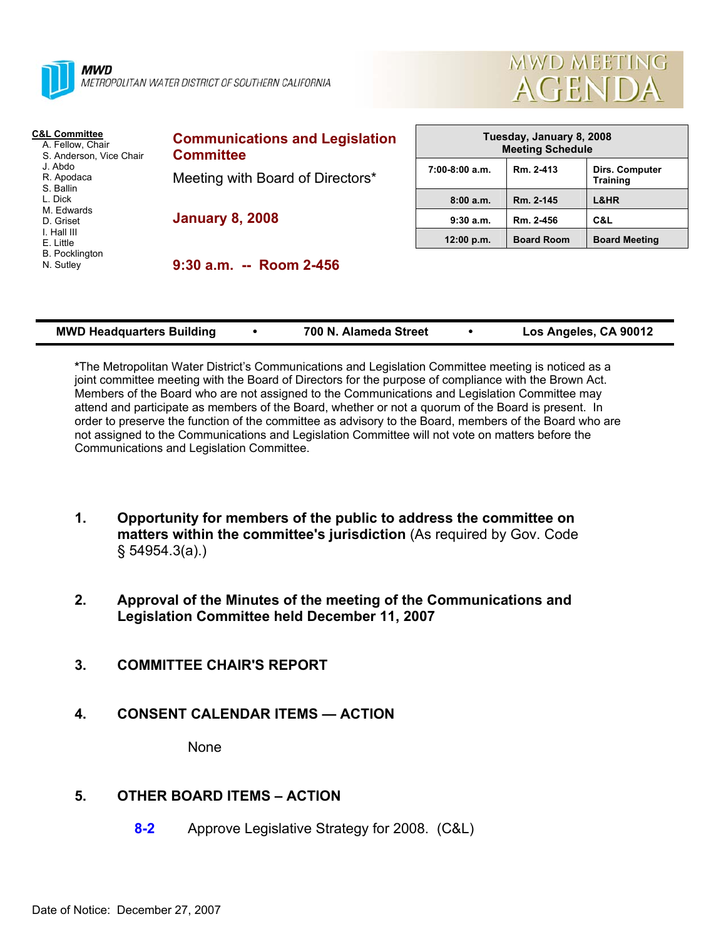



| <b>C&amp;L Committee</b><br>A. Fellow, Chair<br>S. Anderson, Vice Chair<br>J. Abdo<br>R. Apodaca<br>S. Ballin<br>L. Dick<br>M. Edwards<br>D. Griset<br>I. Hall III<br>E. Little<br><b>B.</b> Pocklington<br>N. Sutley | <b>Communications and Legislation</b><br><b>Committee</b>  | Tuesday, January 8, 2008<br><b>Meeting Schedule</b> |                   |                                   |
|-----------------------------------------------------------------------------------------------------------------------------------------------------------------------------------------------------------------------|------------------------------------------------------------|-----------------------------------------------------|-------------------|-----------------------------------|
|                                                                                                                                                                                                                       | Meeting with Board of Directors*<br><b>January 8, 2008</b> | $7:00-8:00$ a.m.                                    | Rm. 2-413         | Dirs. Computer<br><b>Training</b> |
|                                                                                                                                                                                                                       |                                                            | 8:00a.m.                                            | Rm. 2-145         | L&HR                              |
|                                                                                                                                                                                                                       |                                                            | 9:30a.m.                                            | Rm. 2-456         | C&L                               |
|                                                                                                                                                                                                                       |                                                            | 12:00 p.m.                                          | <b>Board Room</b> | <b>Board Meeting</b>              |
|                                                                                                                                                                                                                       | $9:30$ a.m. -- Room 2-456                                  |                                                     |                   |                                   |

| <b>MWD Headquarters Building</b> |  | 700 N. Alameda Street |  | Los Angeles, CA 90012 |
|----------------------------------|--|-----------------------|--|-----------------------|
|----------------------------------|--|-----------------------|--|-----------------------|

**\***The Metropolitan Water District's Communications and Legislation Committee meeting is noticed as a joint committee meeting with the Board of Directors for the purpose of compliance with the Brown Act. Members of the Board who are not assigned to the Communications and Legislation Committee may attend and participate as members of the Board, whether or not a quorum of the Board is present. In order to preserve the function of the committee as advisory to the Board, members of the Board who are not assigned to the Communications and Legislation Committee will not vote on matters before the Communications and Legislation Committee.

- **1. Opportunity for members of the public to address the committee on matters within the committee's jurisdiction** (As required by Gov. Code § 54954.3(a).)
- **2. Approval of the Minutes of the meeting of the Communications and Legislation Committee held December 11, 2007**
- **3. COMMITTEE CHAIR'S REPORT**
- **4. CONSENT CALENDAR ITEMS ACTION**

None

# **5. OTHER BOARD ITEMS – ACTION**

**8-2** Approve Legislative Strategy for 2008. (C&L)